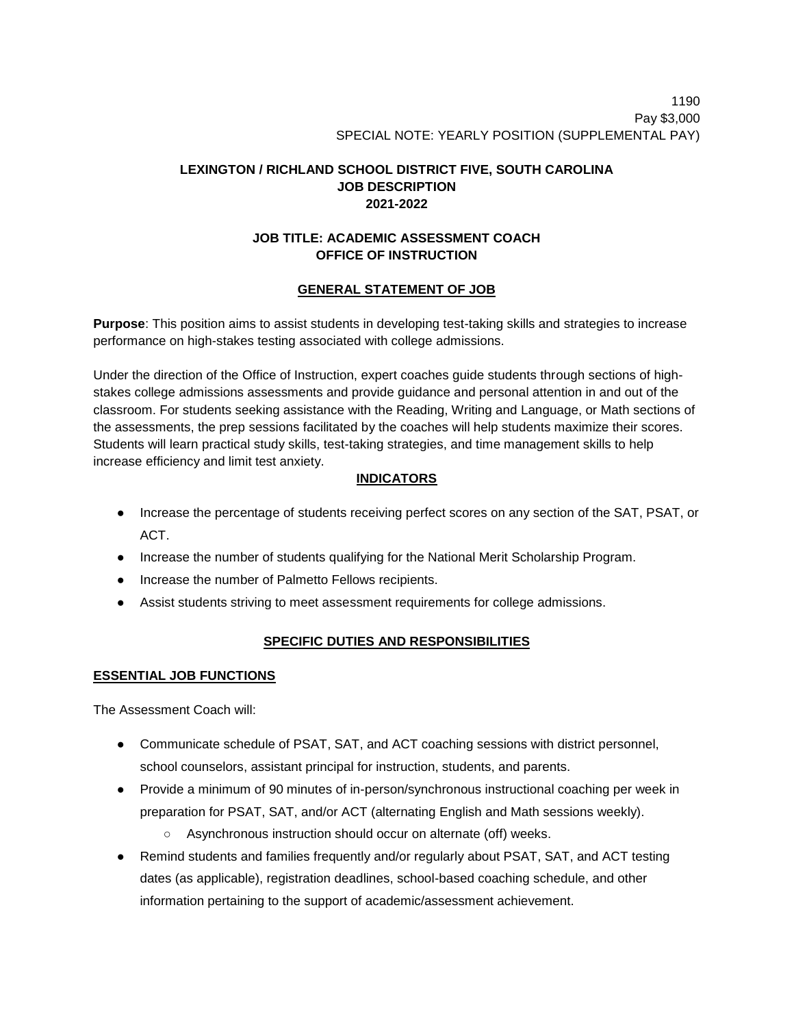1190 Pay \$3,000 SPECIAL NOTE: YEARLY POSITION (SUPPLEMENTAL PAY)

## **LEXINGTON / RICHLAND SCHOOL DISTRICT FIVE, SOUTH CAROLINA JOB DESCRIPTION 2021-2022**

## **JOB TITLE: ACADEMIC ASSESSMENT COACH OFFICE OF INSTRUCTION**

# **GENERAL STATEMENT OF JOB**

**Purpose**: This position aims to assist students in developing test-taking skills and strategies to increase performance on high-stakes testing associated with college admissions.

Under the direction of the Office of Instruction, expert coaches guide students through sections of highstakes college admissions assessments and provide guidance and personal attention in and out of the classroom. For students seeking assistance with the Reading, Writing and Language, or Math sections of the assessments, the prep sessions facilitated by the coaches will help students maximize their scores. Students will learn practical study skills, test-taking strategies, and time management skills to help increase efficiency and limit test anxiety.

# **INDICATORS**

- Increase the percentage of students receiving perfect scores on any section of the SAT, PSAT, or ACT.
- Increase the number of students qualifying for the National Merit Scholarship Program.
- Increase the number of Palmetto Fellows recipients.
- Assist students striving to meet assessment requirements for college admissions.

# **SPECIFIC DUTIES AND RESPONSIBILITIES**

#### **ESSENTIAL JOB FUNCTIONS**

The Assessment Coach will:

- Communicate schedule of PSAT, SAT, and ACT coaching sessions with district personnel, school counselors, assistant principal for instruction, students, and parents.
- Provide a minimum of 90 minutes of in-person/synchronous instructional coaching per week in preparation for PSAT, SAT, and/or ACT (alternating English and Math sessions weekly).
	- Asynchronous instruction should occur on alternate (off) weeks.
- Remind students and families frequently and/or regularly about PSAT, SAT, and ACT testing dates (as applicable), registration deadlines, school-based coaching schedule, and other information pertaining to the support of academic/assessment achievement.